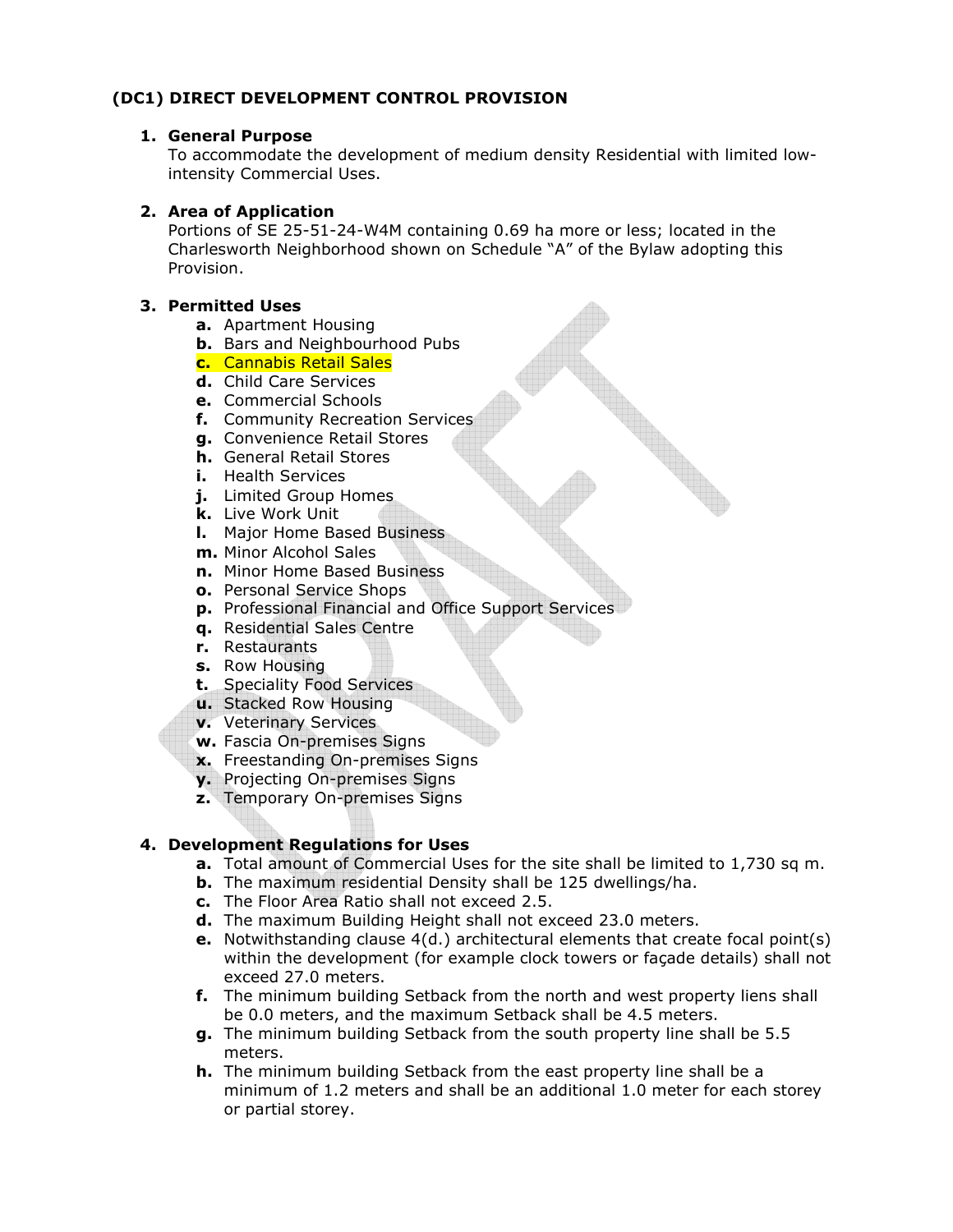# **(DC1) DIRECT DEVELOPMENT CONTROL PROVISION**

#### **1. General Purpose**

To accommodate the development of medium density Residential with limited lowintensity Commercial Uses.

### **2. Area of Application**

Portions of SE 25-51-24-W4M containing 0.69 ha more or less; located in the Charlesworth Neighborhood shown on Schedule "A" of the Bylaw adopting this Provision.

### **3. Permitted Uses**

- **a.** Apartment Housing
- **b.** Bars and Neighbourhood Pubs
- **c.** Cannabis Retail Sales
- **d.** Child Care Services
- **e.** Commercial Schools
- **f.** Community Recreation Services
- **g.** Convenience Retail Stores
- **h.** General Retail Stores
- **i.** Health Services
- **j.** Limited Group Homes
- **k.** Live Work Unit
- **l.** Major Home Based Business
- **m.** Minor Alcohol Sales
- **n.** Minor Home Based Business
- **o.** Personal Service Shops
- **p.** Professional Financial and Office Support Services
- **q.** Residential Sales Centre
- **r.** Restaurants
- **s.** Row Housing
- **t.** Speciality Food Services
- **u.** Stacked Row Housing
- **v.** Veterinary Services
- **w.** Fascia On-premises Signs
- **x.** Freestanding On-premises Signs
- **y.** Projecting On-premises Signs
- **z.** Temporary On-premises Signs

## **4. Development Regulations for Uses**

- **a.** Total amount of Commercial Uses for the site shall be limited to 1,730 sq m.
- **b.** The maximum residential Density shall be 125 dwellings/ha.
- **c.** The Floor Area Ratio shall not exceed 2.5.
- **d.** The maximum Building Height shall not exceed 23.0 meters.
- **e.** Notwithstanding clause 4(d.) architectural elements that create focal point(s) within the development (for example clock towers or façade details) shall not exceed 27.0 meters.
- **f.** The minimum building Setback from the north and west property liens shall be 0.0 meters, and the maximum Setback shall be 4.5 meters.
- **g.** The minimum building Setback from the south property line shall be 5.5 meters.
- **h.** The minimum building Setback from the east property line shall be a minimum of 1.2 meters and shall be an additional 1.0 meter for each storey or partial storey.